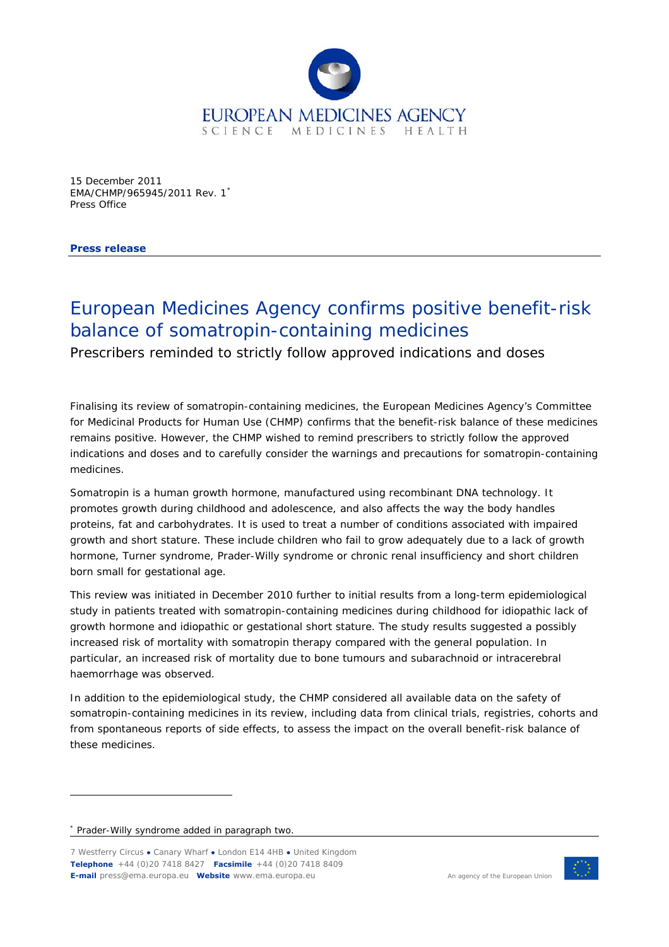

15 December 2011 EMA/CHMP/965945/2011 Rev. 1[\\*](#page-0-0) Press Office

**Press release** 

## European Medicines Agency confirms positive benefit-risk balance of somatropin-containing medicines

Prescribers reminded to strictly follow approved indications and doses

Finalising its review of somatropin-containing medicines, the European Medicines Agency's Committee for Medicinal Products for Human Use (CHMP) confirms that the benefit-risk balance of these medicines remains positive. However, the CHMP wished to remind prescribers to strictly follow the approved indications and doses and to carefully consider the warnings and precautions for somatropin-containing medicines.

Somatropin is a human growth hormone, manufactured using recombinant DNA technology. It promotes growth during childhood and adolescence, and also affects the way the body handles proteins, fat and carbohydrates. It is used to treat a number of conditions associated with impaired growth and short stature. These include children who fail to grow adequately due to a lack of growth hormone, Turner syndrome, Prader-Willy syndrome or chronic renal insufficiency and short children born small for gestational age.

This review was initiated in December 2010 further to initial results from a long-term epidemiological study in patients treated with somatropin-containing medicines during childhood for idiopathic lack of growth hormone and idiopathic or gestational short stature. The study results suggested a possibly increased risk of mortality with somatropin therapy compared with the general population. In particular, an increased risk of mortality due to bone tumours and subarachnoid or intracerebral haemorrhage was observed.

In addition to the epidemiological study, the CHMP considered all available data on the safety of somatropin-containing medicines in its review, including data from clinical trials, registries, cohorts and from spontaneous reports of side effects, to assess the impact on the overall benefit-risk balance of these medicines.

ł

<sup>7</sup> Westferry Circus **●** Canary Wharf **●** London E14 4HB **●** United Kingdom **Telephone** +44 (0)20 7418 8427 **Facsimile** +44 (0)20 7418 8409 **E-mail** press@ema.europa.eu **Website** www.ema.europa.eu An agency of the European Union



<span id="page-0-0"></span><sup>\*</sup> Prader-Willy syndrome added in paragraph two.